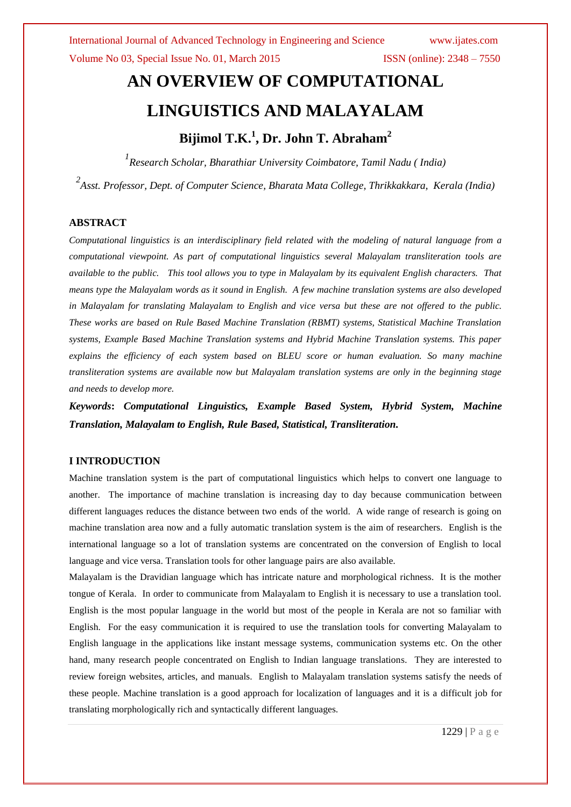# **AN OVERVIEW OF COMPUTATIONAL LINGUISTICS AND MALAYALAM Bijimol T.K. 1 , Dr. John T. Abraham<sup>2</sup>**

*1 Research Scholar, Bharathiar University Coimbatore, Tamil Nadu ( India) 2 Asst. Professor, Dept. of Computer Science, Bharata Mata College, Thrikkakkara, Kerala (India)*

### **ABSTRACT**

*Computational linguistics is an interdisciplinary field related with the modeling of natural language from a computational viewpoint. As part of computational linguistics several Malayalam transliteration tools are available to the public. This tool allows you to type in Malayalam by its equivalent English characters. That means type the Malayalam words as it sound in English. A few machine translation systems are also developed in Malayalam for translating Malayalam to English and vice versa but these are not offered to the public. These works are based on Rule Based Machine Translation (RBMT) systems, Statistical Machine Translation systems, Example Based Machine Translation systems and Hybrid Machine Translation systems. This paper explains the efficiency of each system based on BLEU score or human evaluation. So many machine transliteration systems are available now but Malayalam translation systems are only in the beginning stage and needs to develop more.*

*Keywords***:** *Computational Linguistics, Example Based System, Hybrid System, Machine Translation, Malayalam to English, Rule Based, Statistical, Transliteration.*

### **I INTRODUCTION**

Machine translation system is the part of computational linguistics which helps to convert one language to another. The importance of machine translation is increasing day to day because communication between different languages reduces the distance between two ends of the world. A wide range of research is going on machine translation area now and a fully automatic translation system is the aim of researchers. English is the international language so a lot of translation systems are concentrated on the conversion of English to local language and vice versa. Translation tools for other language pairs are also available.

Malayalam is the Dravidian language which has intricate nature and morphological richness. It is the mother tongue of Kerala. In order to communicate from Malayalam to English it is necessary to use a translation tool. English is the most popular language in the world but most of the people in Kerala are not so familiar with English. For the easy communication it is required to use the translation tools for converting Malayalam to English language in the applications like instant message systems, communication systems etc. On the other hand, many research people concentrated on English to Indian language translations. They are interested to review foreign websites, articles, and manuals. English to Malayalam translation systems satisfy the needs of these people. Machine translation is a good approach for localization of languages and it is a difficult job for translating morphologically rich and syntactically different languages.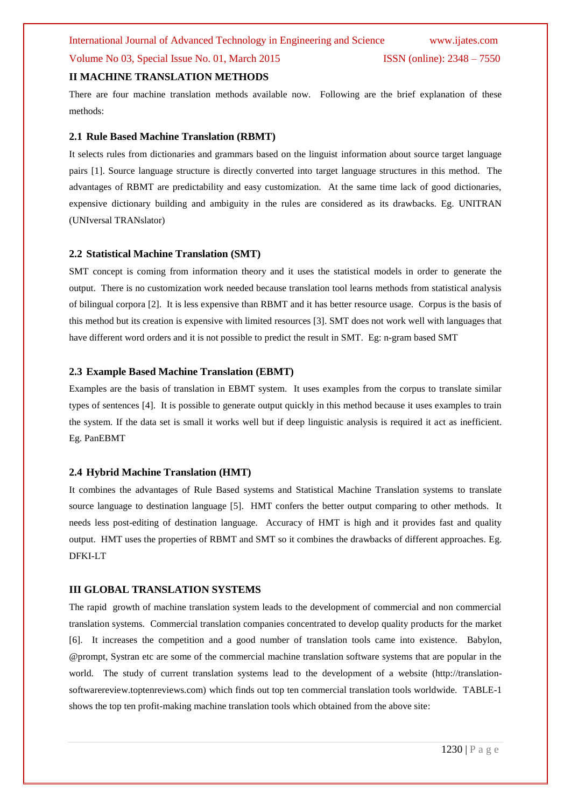### Volume No 03, Special Issue No. 01, March 2015 ISSN (online): 2348 – 7550

#### **II MACHINE TRANSLATION METHODS**

There are four machine translation methods available now. Following are the brief explanation of these methods:

#### **2.1 Rule Based Machine Translation (RBMT)**

It selects rules from dictionaries and grammars based on the linguist information about source target language pairs [1]. Source language structure is directly converted into target language structures in this method. The advantages of RBMT are predictability and easy customization. At the same time lack of good dictionaries, expensive dictionary building and ambiguity in the rules are considered as its drawbacks. Eg. UNITRAN (UNIversal TRANslator)

#### **2.2 Statistical Machine Translation (SMT)**

SMT concept is coming from information theory and it uses the statistical models in order to generate the output. There is no customization work needed because translation tool learns methods from statistical analysis of bilingual corpora [2]. It is less expensive than RBMT and it has better resource usage. Corpus is the basis of this method but its creation is expensive with limited resources [3]. SMT does not work well with languages that have different word orders and it is not possible to predict the result in SMT. Eg: n-gram based SMT

#### **2.3 Example Based Machine Translation (EBMT)**

Examples are the basis of translation in EBMT system. It uses examples from the corpus to translate similar types of sentences [4]. It is possible to generate output quickly in this method because it uses examples to train the system. If the data set is small it works well but if deep linguistic analysis is required it act as inefficient. Eg. PanEBMT

#### **2.4 Hybrid Machine Translation (HMT)**

It combines the advantages of Rule Based systems and Statistical Machine Translation systems to translate source language to destination language [5]. HMT confers the better output comparing to other methods. It needs less post-editing of destination language. Accuracy of HMT is high and it provides fast and quality output. HMT uses the properties of RBMT and SMT so it combines the drawbacks of different approaches. Eg. DFKI-LT

#### **III GLOBAL TRANSLATION SYSTEMS**

The rapid growth of machine translation system leads to the development of commercial and non commercial translation systems. Commercial translation companies concentrated to develop quality products for the market [6]. It increases the competition and a good number of translation tools came into existence. Babylon, @prompt, Systran etc are some of the commercial machine translation software systems that are popular in the world. The study of current translation systems lead to the development of a website (http://translationsoftwarereview.toptenreviews.com) which finds out top ten commercial translation tools worldwide. TABLE-1 shows the top ten profit-making machine translation tools which obtained from the above site: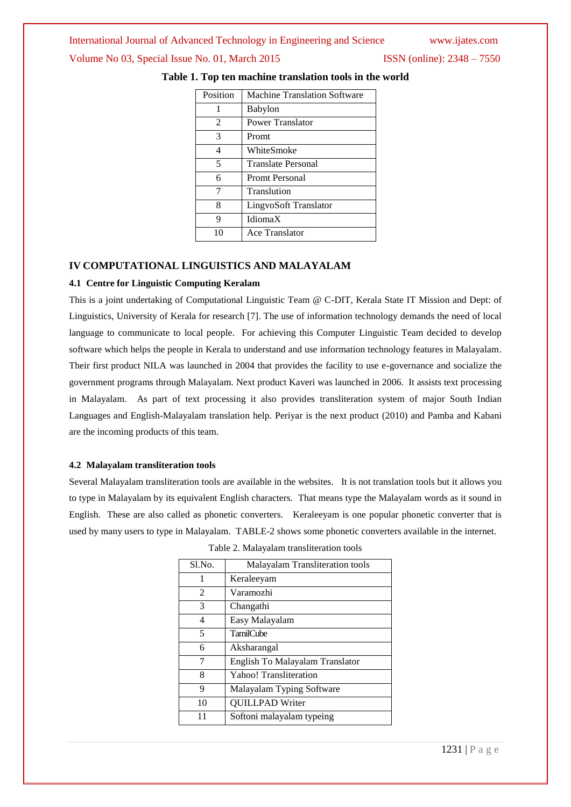#### International Journal of Advanced Technology in Engineering and Science www.ijates.com

#### Volume No 03, Special Issue No. 01, March 2015 ISSN (online): 2348 – 7550

| Position                    | Machine Translation Software |
|-----------------------------|------------------------------|
| 1                           | <b>Babylon</b>               |
| $\mathcal{D}_{\mathcal{L}}$ | Power Translator             |
| 3                           | Promt                        |
| $\overline{4}$              | WhiteSmoke                   |
| 5                           | <b>Translate Personal</b>    |
| 6                           | <b>Promt Personal</b>        |
| 7                           | Translution                  |
| 8                           | LingvoSoft Translator        |
| 9                           | IdiomaX                      |
| 10                          | Ace Translator               |

### **Table 1. Top ten machine translation tools in the world**

#### **IV COMPUTATIONAL LINGUISTICS AND MALAYALAM**

#### **4.1 Centre for Linguistic Computing Keralam**

This is a joint undertaking of Computational Linguistic Team @ C-DIT, Kerala State IT Mission and Dept: of Linguistics, University of Kerala for research [7]. The use of information technology demands the need of local language to communicate to local people. For achieving this Computer Linguistic Team decided to develop software which helps the people in Kerala to understand and use information technology features in Malayalam. Their first product NILA was launched in 2004 that provides the facility to use e-governance and socialize the government programs through Malayalam. Next product Kaveri was launched in 2006. It assists text processing in Malayalam. As part of text processing it also provides transliteration system of major South Indian Languages and English-Malayalam translation help. Periyar is the next product (2010) and Pamba and Kabani are the incoming products of this team.

#### **4.2 Malayalam transliteration tools**

Several Malayalam transliteration tools are available in the websites. It is not translation tools but it allows you to type in Malayalam by its equivalent English characters. That means type the Malayalam words as it sound in English. These are also called as phonetic converters. Keraleeyam is one popular phonetic converter that is used by many users to type in Malayalam. TABLE-2 shows some phonetic converters available in the internet.

| $S1$ . No.     | <b>Malayalam Transliteration tools</b> |
|----------------|----------------------------------------|
| 1              | Keraleeyam                             |
| $\mathfrak{D}$ | Varamozhi                              |
| 3              | Changathi                              |
| 4              | Easy Malayalam                         |
| 5              | <b>TamilCube</b>                       |
| 6              | Aksharangal                            |
| 7              | English To Malayalam Translator        |
| 8              | Yahoo! Transliteration                 |
| 9              | Malayalam Typing Software              |
| 10             | <b>OUILLPAD Writer</b>                 |
| 11             | Softoni malayalam typeing              |

Table 2. Malayalam transliteration tools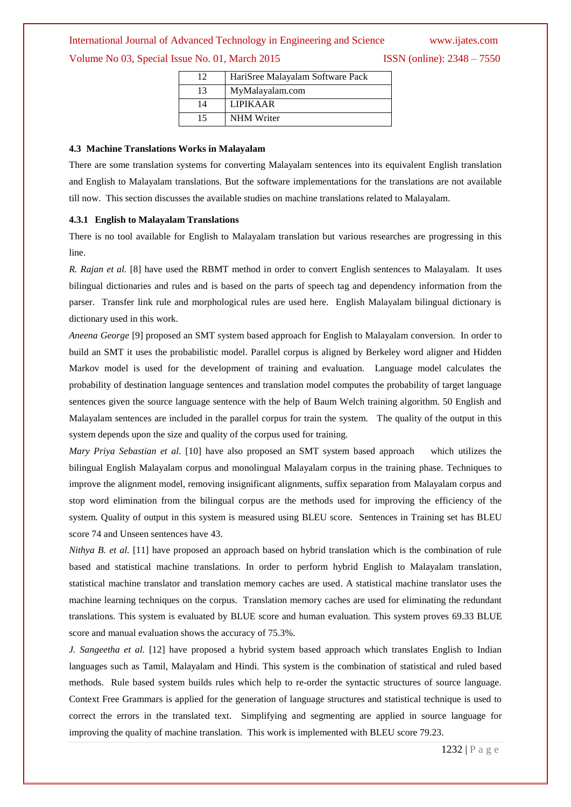## International Journal of Advanced Technology in Engineering and Science www.ijates.com Volume No 03, Special Issue No. 01, March 2015 ISSN (online): 2348 – 7550

| 12 | HariSree Malayalam Software Pack |
|----|----------------------------------|
| 13 | MyMalayalam.com                  |
| 14 | <b>LIPIKAAR</b>                  |
| 15 | <b>NHM Writer</b>                |

#### **4.3 Machine Translations Works in Malayalam**

There are some translation systems for converting Malayalam sentences into its equivalent English translation and English to Malayalam translations. But the software implementations for the translations are not available till now. This section discusses the available studies on machine translations related to Malayalam.

#### **4.3.1 English to Malayalam Translations**

There is no tool available for English to Malayalam translation but various researches are progressing in this line.

*R. Rajan et al.* [8] have used the RBMT method in order to convert English sentences to Malayalam. It uses bilingual dictionaries and rules and is based on the parts of speech tag and dependency information from the parser. Transfer link rule and morphological rules are used here. English Malayalam bilingual dictionary is dictionary used in this work.

*Aneena George* [9] proposed an SMT system based approach for English to Malayalam conversion. In order to build an SMT it uses the probabilistic model. Parallel corpus is aligned by Berkeley word aligner and Hidden Markov model is used for the development of training and evaluation. Language model calculates the probability of destination language sentences and translation model computes the probability of target language sentences given the source language sentence with the help of Baum Welch training algorithm. 50 English and Malayalam sentences are included in the parallel corpus for train the system. The quality of the output in this system depends upon the size and quality of the corpus used for training.

*Mary Priya Sebastian et al.* [10] have also proposed an SMT system based approach which utilizes the bilingual English Malayalam corpus and monolingual Malayalam corpus in the training phase. Techniques to improve the alignment model, removing insignificant alignments, suffix separation from Malayalam corpus and stop word elimination from the bilingual corpus are the methods used for improving the efficiency of the system. Quality of output in this system is measured using BLEU score. Sentences in Training set has BLEU score 74 and Unseen sentences have 43.

*Nithya B. et al.* [11] have proposed an approach based on hybrid translation which is the combination of rule based and statistical machine translations. In order to perform hybrid English to Malayalam translation, statistical machine translator and translation memory caches are used. A statistical machine translator uses the machine learning techniques on the corpus. Translation memory caches are used for eliminating the redundant translations. This system is evaluated by BLUE score and human evaluation. This system proves 69.33 BLUE score and manual evaluation shows the accuracy of 75.3%.

*J. Sangeetha et al.* [12] have proposed a hybrid system based approach which translates English to Indian languages such as Tamil, Malayalam and Hindi. This system is the combination of statistical and ruled based methods. Rule based system builds rules which help to re-order the syntactic structures of source language. Context Free Grammars is applied for the generation of language structures and statistical technique is used to correct the errors in the translated text. Simplifying and segmenting are applied in source language for improving the quality of machine translation. This work is implemented with BLEU score 79.23.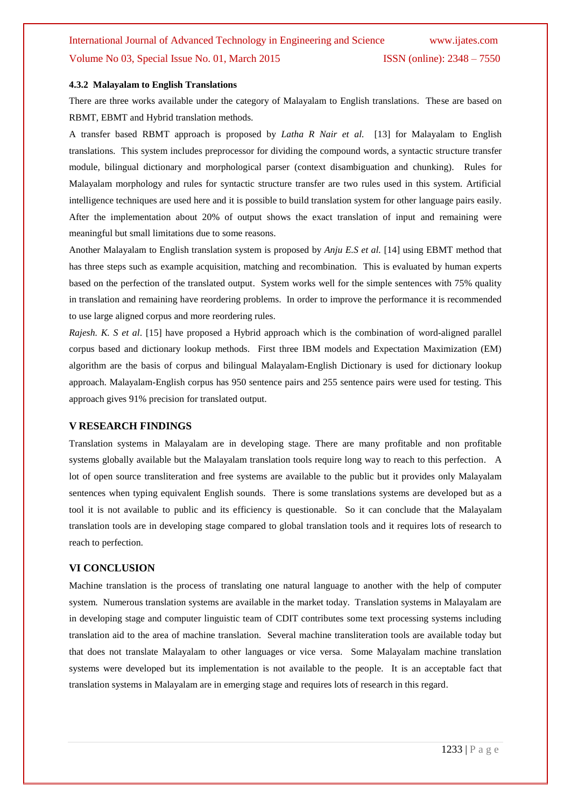# International Journal of Advanced Technology in Engineering and Science www.ijates.com Volume No 03, Special Issue No. 01, March 2015 ISSN (online): 2348 – 7550

#### **4.3.2 Malayalam to English Translations**

There are three works available under the category of Malayalam to English translations. These are based on RBMT, EBMT and Hybrid translation methods.

A transfer based RBMT approach is proposed by *Latha R Nair et al.* [13] for Malayalam to English translations. This system includes preprocessor for dividing the compound words, a syntactic structure transfer module, bilingual dictionary and morphological parser (context disambiguation and chunking). Rules for Malayalam morphology and rules for syntactic structure transfer are two rules used in this system. Artificial intelligence techniques are used here and it is possible to build translation system for other language pairs easily. After the implementation about 20% of output shows the exact translation of input and remaining were meaningful but small limitations due to some reasons.

Another Malayalam to English translation system is proposed by *Anju E.S et al.* [14] using EBMT method that has three steps such as example acquisition, matching and recombination. This is evaluated by human experts based on the perfection of the translated output. System works well for the simple sentences with 75% quality in translation and remaining have reordering problems. In order to improve the performance it is recommended to use large aligned corpus and more reordering rules.

*Rajesh. K. S et al*. [15] have proposed a Hybrid approach which is the combination of word-aligned parallel corpus based and dictionary lookup methods. First three IBM models and Expectation Maximization (EM) algorithm are the basis of corpus and bilingual Malayalam-English Dictionary is used for dictionary lookup approach. Malayalam-English corpus has 950 sentence pairs and 255 sentence pairs were used for testing. This approach gives 91% precision for translated output.

#### **V RESEARCH FINDINGS**

Translation systems in Malayalam are in developing stage. There are many profitable and non profitable systems globally available but the Malayalam translation tools require long way to reach to this perfection. A lot of open source transliteration and free systems are available to the public but it provides only Malayalam sentences when typing equivalent English sounds. There is some translations systems are developed but as a tool it is not available to public and its efficiency is questionable. So it can conclude that the Malayalam translation tools are in developing stage compared to global translation tools and it requires lots of research to reach to perfection.

#### **VI CONCLUSION**

Machine translation is the process of translating one natural language to another with the help of computer system. Numerous translation systems are available in the market today. Translation systems in Malayalam are in developing stage and computer linguistic team of CDIT contributes some text processing systems including translation aid to the area of machine translation. Several machine transliteration tools are available today but that does not translate Malayalam to other languages or vice versa. Some Malayalam machine translation systems were developed but its implementation is not available to the people. It is an acceptable fact that translation systems in Malayalam are in emerging stage and requires lots of research in this regard.